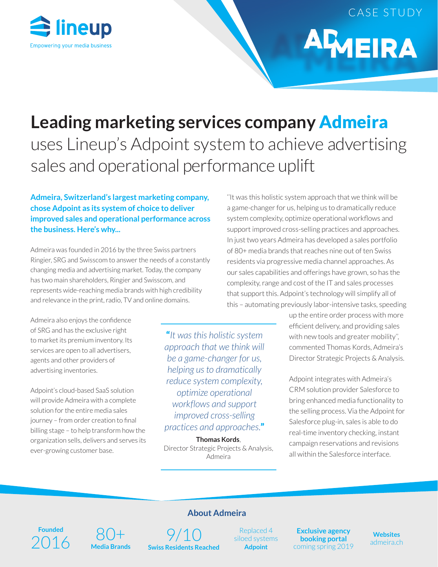

CASE STUDY

**AMEIRA** 

# **Leading marketing services company** Admeira

uses Lineup's Adpoint system to achieve advertising sales and operational performance uplift

### **Admeira, Switzerland's largest marketing company, chose Adpoint as its system of choice to deliver improved sales and operational performance across the business. Here's why...**

Admeira was founded in 2016 by the three Swiss partners Ringier, SRG and Swisscom to answer the needs of a constantly changing media and advertising market. Today, the company has two main shareholders, Ringier and Swisscom, and represents wide-reaching media brands with high credibility and relevance in the print, radio, TV and online domains.

Admeira also enjoys the confidence of SRG and has the exclusive right to market its premium inventory. Its services are open to all advertisers, agents and other providers of advertising inventories.

Adpoint's cloud-based SaaS solution will provide Admeira with a complete solution for the entire media sales journey – from order creation to final billing stage – to help transform how the organization sells, delivers and serves its ever-growing customer base.

"*It was this holistic system approach that we think will be a game-changer for us, helping us to dramatically reduce system complexity, optimize operational workflows and support improved cross-selling practices and approaches.*"

**Thomas Kords**, Director Strategic Projects & Analysis, Admeira

''It was this holistic system approach that we think will be a game-changer for us, helping us to dramatically reduce system complexity, optimize operational workflows and support improved cross-selling practices and approaches. In just two years Admeira has developed a sales portfolio of 80+ media brands that reaches nine out of ten Swiss residents via progressive media channel approaches. As our sales capabilities and offerings have grown, so has the complexity, range and cost of the IT and sales processes that support this. Adpoint's technology will simplify all of this – automating previously labor-intensive tasks, speeding

> up the entire order process with more efficient delivery, and providing sales with new tools and greater mobility'', commented Thomas Kords, Admeira's Director Strategic Projects & Analysis.

Adpoint integrates with Admeira's CRM solution provider Salesforce to bring enhanced media functionality to the selling process. Via the Adpoint for Salesforce plug-in, sales is able to do real-time inventory checking, instant campaign reservations and revisions all within the Salesforce interface.

## **Founded** Founded<br>2016 Media Brands Swiss Residents Re

80+ **Media Brands**

# **About Admeira**

**Swiss Residents Reached**

Replaced 4 siloed systems **Adpoint**

**Exclusive agency booking portal**  coming spring 2019

**Websites** admeira.ch